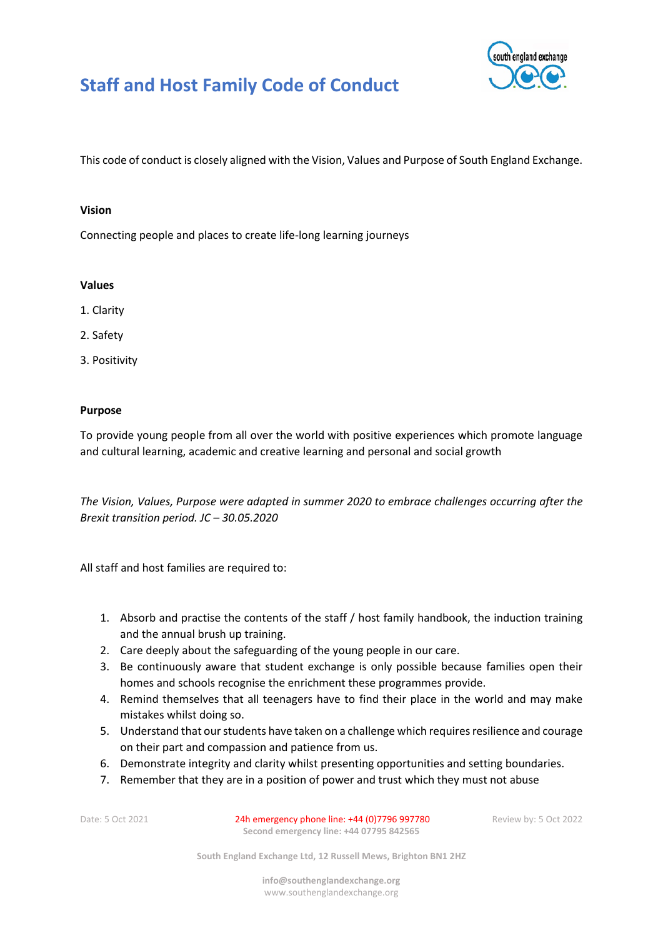



This code of conduct is closely aligned with the Vision, Values and Purpose of South England Exchange.

## **Vision**

Connecting people and places to create life-long learning journeys

## **Values**

- 1. Clarity
- 2. Safety
- 3. Positivity

## **Purpose**

To provide young people from all over the world with positive experiences which promote language and cultural learning, academic and creative learning and personal and social growth

*The Vision, Values, Purpose were adapted in summer 2020 to embrace challenges occurring after the Brexit transition period. JC – 30.05.2020*

All staff and host families are required to:

- 1. Absorb and practise the contents of the staff / host family handbook, the induction training and the annual brush up training.
- 2. Care deeply about the safeguarding of the young people in our care.
- 3. Be continuously aware that student exchange is only possible because families open their homes and schools recognise the enrichment these programmes provide.
- 4. Remind themselves that all teenagers have to find their place in the world and may make mistakes whilst doing so.
- 5. Understand that our students have taken on a challenge which requires resilience and courage on their part and compassion and patience from us.
- 6. Demonstrate integrity and clarity whilst presenting opportunities and setting boundaries.
- 7. Remember that they are in a position of power and trust which they must not abuse

Date: 5 Oct 2021 24h emergency phone line: +44 (0)7796 997780 Review by: 5 Oct 2022 **Second emergency line: +44 07795 842565**

**South England Exchange Ltd, 12 Russell Mews, Brighton BN1 2HZ**